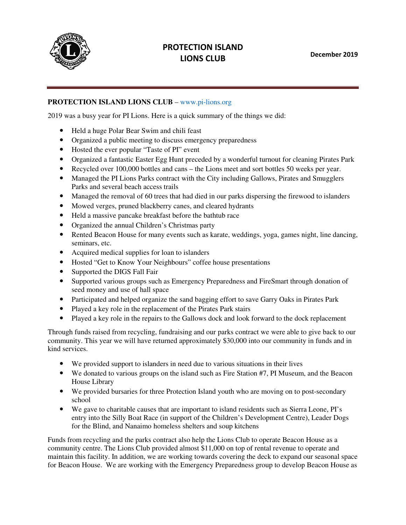

## PROTECTION ISLAND LIONS CLUB

## **PROTECTION ISLAND LIONS CLUB** – www.pi-lions.org

2019 was a busy year for PI Lions. Here is a quick summary of the things we did:

- Held a huge Polar Bear Swim and chili feast
- Organized a public meeting to discuss emergency preparedness
- Hosted the ever popular "Taste of PI" event
- Organized a fantastic Easter Egg Hunt preceded by a wonderful turnout for cleaning Pirates Park • Held a huge Polar Bear Swim and chili feast<br>
• Held a huge Polar Bear Swim and chili feast<br>
• Organized a public meeting to discuss emergency preparedness<br>
• Hosted the ever popular "Taste of PI" event<br>
• Organized a fan
- 
- Managed the PI Lions Parks contract with the City including Gallows, Pirates and Smugglers Parks and several beach access trails
- Managed the removal of 60 trees that had died in our parks dispersing the firewood to islanders
- Mowed verges, pruned blackberry canes, and cleared hydrants
- Held a massive pancake breakfast before the bathtub race
- Organized the annual Children's Christmas party
- Mowed verges, pruned blackberry canes, and cleared hydrants<br>• Held a massive pancake breakfast before the bathtub race<br>• Organized the annual Children's Christmas party<br>• Rented Beacon House for many events such as karat seminars, etc. died in our parks dispersing the firewood to island<br>and cleared hydrants<br>he bathtub race<br>s party<br>ch as karate, weddings, yoga, games night, line da<br>nders<br>coffee house presentations<br>mcy Preparedness and FireSmart through do
- Acquired medical supplies for loan to islanders
- Acquired medical supplies for loan to islanders<br>• Hosted "Get to Know Your Neighbours" coffee house presentations
- Supported the DIGS Fall Fair
- Supported various groups such as Emergency Preparedness and FireSmart through donation of seed money and use of hall space
- Participated and helped organize the sand bagging effort to save Garry Oaks in Pirates Park
- Played a key role in the replacement of the Pirates Park stairs
- Played a key role in the repairs to the Gallows dock and look forward to the dock replacement

Through funds raised from recycling, fundraising and our parks contract we were able to give back to our community. This year we will have returned approximately \$30,000 into our community in funds and in kind services. Supported various groups such as Emergency Preparedness and FireSmart through donation of<br>seed money and use of hall space<br>Participated and helped organize the sand bagging effort to save Garry Oaks in Pirates Park<br>Played

- We provided support to islanders in need due to various situations in their lives
- We donated to various groups on the island such as Fire Station #7, PI Museum, and the Beacon House Library
- We provided bursaries for three Protection Island youth who are moving on to post-secondary school
- We gave to charitable causes that are important to island residents such as Sierra Leone, PI's entry into the Silly Boat Race (in support of the Children's Development Centre), Leader Dogs for the Blind, and Nanaimo homeless shelters and soup kitchens We provided support to islanders in need due to various situations in their lives<br>We donated to various groups on the island such as Fire Station #7, PI Museum, and the Beacor<br>House Library<br>We provided bursaries for three

Funds from recycling and the parks contract also help the Lions Club to operate Beacon House as a entry into the Silly Boat Race (in support of the Children's Development Centre), Leader Do<br>for the Blind, and Nanaimo homeless shelters and soup kitchens<br>Funds from recycling and the parks contract also help the Lions Clu maintain this facility. In addition, we are working towards covering the deck to expand our seasonal space maintain this facility. In addition, we are working towards covering the deck to expand our seasonal space<br>for Beacon House. We are working with the Emergency Preparedness group to develop Beacon House as